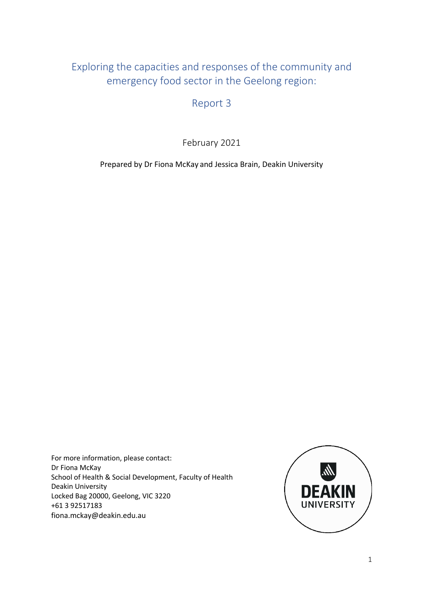# Exploring the capacities and responses of the community and emergency food sector in the Geelong region:

Report 3

February 2021

Prepared by Dr Fiona McKay and Jessica Brain, Deakin University

For more information, please contact: Dr Fiona McKay School of Health & Social Development, Faculty of Health Deakin University Locked Bag 20000, Geelong, VIC 3220 +61 3 92517183 fiona.mckay@deakin.edu.au

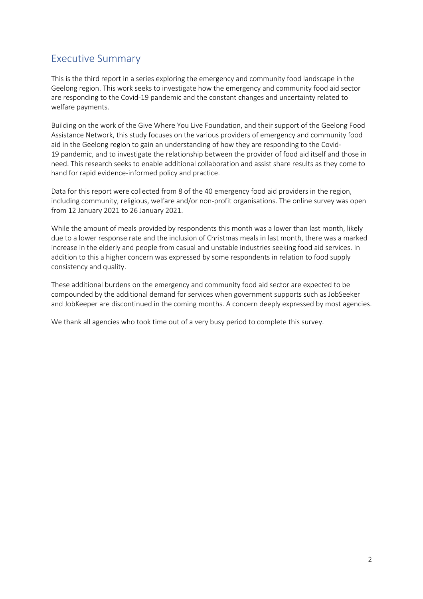## Executive Summary

This is the third report in a series exploring the emergency and community food landscape in the Geelong region. This work seeks to investigate how the emergency and community food aid sector are responding to the Covid-19 pandemic and the constant changes and uncertainty related to welfare payments.

Building on the work of the Give Where You Live Foundation, and their support of the Geelong Food Assistance Network, this study focuses on the various providers of emergency and community food aid in the Geelong region to gain an understanding of how they are responding to the Covid-19 pandemic, and to investigate the relationship between the provider of food aid itself and those in need. This research seeks to enable additional collaboration and assist share results as they come to hand for rapid evidence-informed policy and practice.

Data for this report were collected from 8 of the 40 emergency food aid providers in the region, including community, religious, welfare and/or non-profit organisations. The online survey was open from 12 January 2021 to 26 January 2021.

While the amount of meals provided by respondents this month was a lower than last month, likely due to a lower response rate and the inclusion of Christmas meals in last month, there was a marked increase in the elderly and people from casual and unstable industries seeking food aid services. In addition to this a higher concern was expressed by some respondents in relation to food supply consistency and quality.

These additional burdens on the emergency and community food aid sector are expected to be compounded by the additional demand for services when government supports such as JobSeeker and JobKeeper are discontinued in the coming months. A concern deeply expressed by most agencies.

We thank all agencies who took time out of a very busy period to complete this survey.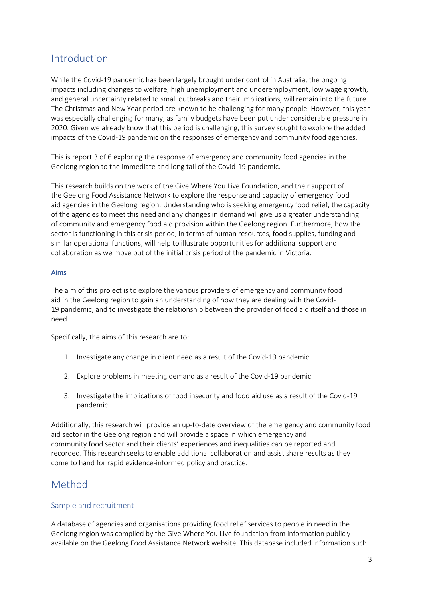## Introduction

While the Covid-19 pandemic has been largely brought under control in Australia, the ongoing impacts including changes to welfare, high unemployment and underemployment, low wage growth, and general uncertainty related to small outbreaks and their implications, will remain into the future. The Christmas and New Year period are known to be challenging for many people. However, this year was especially challenging for many, as family budgets have been put under considerable pressure in 2020. Given we already know that this period is challenging, this survey sought to explore the added impacts of the Covid-19 pandemic on the responses of emergency and community food agencies.

This is report 3 of 6 exploring the response of emergency and community food agencies in the Geelong region to the immediate and long tail of the Covid-19 pandemic.

This research builds on the work of the Give Where You Live Foundation, and their support of the Geelong Food Assistance Network to explore the response and capacity of emergency food aid agencies in the Geelong region. Understanding who is seeking emergency food relief, the capacity of the agencies to meet this need and any changes in demand will give us a greater understanding of community and emergency food aid provision within the Geelong region. Furthermore, how the sector is functioning in this crisis period, in terms of human resources, food supplies, funding and similar operational functions, will help to illustrate opportunities for additional support and collaboration as we move out of the initial crisis period of the pandemic in Victoria.

#### Aims

The aim of this project is to explore the various providers of emergency and community food aid in the Geelong region to gain an understanding of how they are dealing with the Covid-19 pandemic, and to investigate the relationship between the provider of food aid itself and those in need.

Specifically, the aims of this research are to:

- 1. Investigate any change in client need as a result of the Covid-19 pandemic.
- 2. Explore problems in meeting demand as a result of the Covid-19 pandemic.
- 3. Investigate the implications of food insecurity and food aid use as a result of the Covid-19 pandemic.

Additionally, this research will provide an up-to-date overview of the emergency and community food aid sector in the Geelong region and will provide a space in which emergency and community food sector and their clients' experiences and inequalities can be reported and recorded. This research seeks to enable additional collaboration and assist share results as they come to hand for rapid evidence-informed policy and practice.

## Method

#### Sample and recruitment

A database of agencies and organisations providing food relief services to people in need in the Geelong region was compiled by the Give Where You Live foundation from information publicly available on the Geelong Food Assistance Network website. This database included information such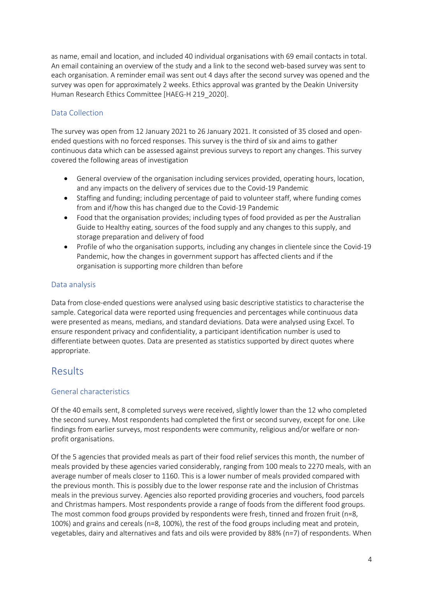as name, email and location, and included 40 individual organisations with 69 email contacts in total. An email containing an overview of the study and a link to the second web-based survey was sent to each organisation. A reminder email was sent out 4 days after the second survey was opened and the survey was open for approximately 2 weeks. Ethics approval was granted by the Deakin University Human Research Ethics Committee [HAEG-H 219\_2020].

#### Data Collection

The survey was open from 12 January 2021 to 26 January 2021. It consisted of 35 closed and openended questions with no forced responses. This survey is the third of six and aims to gather continuous data which can be assessed against previous surveys to report any changes. This survey covered the following areas of investigation

- General overview of the organisation including services provided, operating hours, location, and any impacts on the delivery of services due to the Covid-19 Pandemic
- Staffing and funding; including percentage of paid to volunteer staff, where funding comes from and if/how this has changed due to the Covid-19 Pandemic
- Food that the organisation provides; including types of food provided as per the Australian Guide to Healthy eating, sources of the food supply and any changes to this supply, and storage preparation and delivery of food
- Profile of who the organisation supports, including any changes in clientele since the Covid-19 Pandemic, how the changes in government support has affected clients and if the organisation is supporting more children than before

#### Data analysis

Data from close-ended questions were analysed using basic descriptive statistics to characterise the sample. Categorical data were reported using frequencies and percentages while continuous data were presented as means, medians, and standard deviations. Data were analysed using Excel. To ensure respondent privacy and confidentiality, a participant identification number is used to differentiate between quotes. Data are presented as statistics supported by direct quotes where appropriate.

### Results

#### General characteristics

Of the 40 emails sent, 8 completed surveys were received, slightly lower than the 12 who completed the second survey. Most respondents had completed the first or second survey, except for one. Like findings from earlier surveys, most respondents were community, religious and/or welfare or nonprofit organisations.

Of the 5 agencies that provided meals as part of their food relief services this month, the number of meals provided by these agencies varied considerably, ranging from 100 meals to 2270 meals, with an average number of meals closer to 1160. This is a lower number of meals provided compared with the previous month. This is possibly due to the lower response rate and the inclusion of Christmas meals in the previous survey. Agencies also reported providing groceries and vouchers, food parcels and Christmas hampers. Most respondents provide a range of foods from the different food groups. The most common food groups provided by respondents were fresh, tinned and frozen fruit (n=8, 100%) and grains and cereals (n=8, 100%), the rest of the food groups including meat and protein, vegetables, dairy and alternatives and fats and oils were provided by 88% (n=7) of respondents. When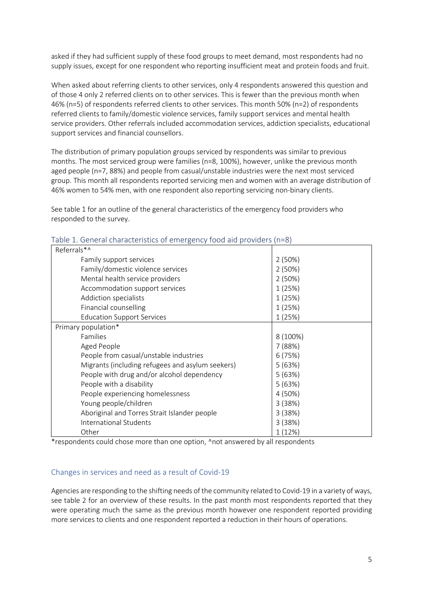asked if they had sufficient supply of these food groups to meet demand, most respondents had no supply issues, except for one respondent who reporting insufficient meat and protein foods and fruit.

When asked about referring clients to other services, only 4 respondents answered this question and of those 4 only 2 referred clients on to other services. This is fewer than the previous month when 46% (n=5) of respondents referred clients to other services. This month 50% (n=2) of respondents referred clients to family/domestic violence services, family support services and mental health service providers. Other referrals included accommodation services, addiction specialists, educational support services and financial counsellors.

The distribution of primary population groups serviced by respondents was similar to previous months. The most serviced group were families (n=8, 100%), however, unlike the previous month aged people (n=7, 88%) and people from casual/unstable industries were the next most serviced group. This month all respondents reported servicing men and women with an average distribution of 46% women to 54% men, with one respondent also reporting servicing non-binary clients.

See table 1 for an outline of the general characteristics of the emergency food providers who responded to the survey.

| able 1. Gelleral characteristics of emergency food ald providers (ii–o) |          |
|-------------------------------------------------------------------------|----------|
| Referrals*^                                                             |          |
| Family support services                                                 | 2(50%)   |
| Family/domestic violence services                                       | 2(50%)   |
| Mental health service providers                                         | 2(50%)   |
| Accommodation support services                                          | 1(25%)   |
| Addiction specialists                                                   | 1(25%)   |
| Financial counselling                                                   | 1(25%)   |
| <b>Education Support Services</b>                                       | 1(25%)   |
| Primary population*                                                     |          |
| Families                                                                | 8 (100%) |
| Aged People                                                             | 7(88%)   |
| People from casual/unstable industries                                  | 6(75%)   |
| Migrants (including refugees and asylum seekers)                        | 5(63%)   |
| People with drug and/or alcohol dependency                              | 5(63%)   |
| People with a disability                                                | 5(63%)   |
| People experiencing homelessness                                        | 4 (50%)  |
| Young people/children                                                   | 3(38%)   |
| Aboriginal and Torres Strait Islander people                            | 3(38%)   |
| International Students                                                  | 3(38%)   |
| Other                                                                   | 1(12%)   |

Table 1. General characteristics of emergency food aid providers (n=8)

\*respondents could chose more than one option, ^not answered by all respondents

#### Changes in services and need as a result of Covid-19

Agencies are responding to the shifting needs of the community related to Covid-19 in a variety of ways, see table 2 for an overview of these results. In the past month most respondents reported that they were operating much the same as the previous month however one respondent reported providing more services to clients and one respondent reported a reduction in their hours of operations.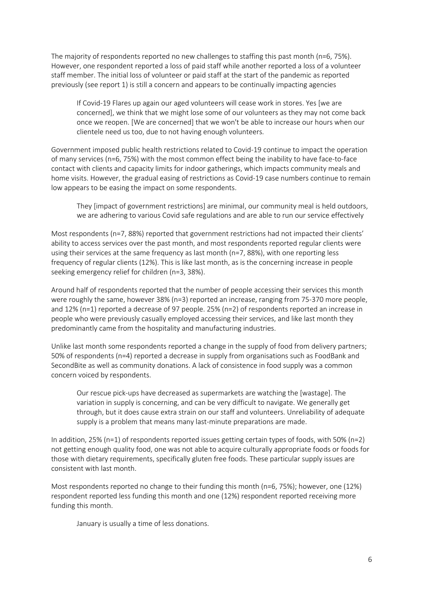The majority of respondents reported no new challenges to staffing this past month (n=6, 75%). However, one respondent reported a loss of paid staff while another reported a loss of a volunteer staff member. The initial loss of volunteer or paid staff at the start of the pandemic as reported previously (see report 1) is still a concern and appears to be continually impacting agencies

If Covid-19 Flares up again our aged volunteers will cease work in stores. Yes [we are concerned], we think that we might lose some of our volunteers as they may not come back once we reopen. [We are concerned] that we won't be able to increase our hours when our clientele need us too, due to not having enough volunteers.

Government imposed public health restrictions related to Covid-19 continue to impact the operation of many services (n=6, 75%) with the most common effect being the inability to have face-to-face contact with clients and capacity limits for indoor gatherings, which impacts community meals and home visits. However, the gradual easing of restrictions as Covid-19 case numbers continue to remain low appears to be easing the impact on some respondents.

They [impact of government restrictions] are minimal, our community meal is held outdoors, we are adhering to various Covid safe regulations and are able to run our service effectively

Most respondents (n=7, 88%) reported that government restrictions had not impacted their clients' ability to access services over the past month, and most respondents reported regular clients were using their services at the same frequency as last month (n=7, 88%), with one reporting less frequency of regular clients (12%). This is like last month, as is the concerning increase in people seeking emergency relief for children (n=3, 38%).

Around half of respondents reported that the number of people accessing their services this month were roughly the same, however 38% (n=3) reported an increase, ranging from 75-370 more people, and 12% (n=1) reported a decrease of 97 people. 25% (n=2) of respondents reported an increase in people who were previously casually employed accessing their services, and like last month they predominantly came from the hospitality and manufacturing industries.

Unlike last month some respondents reported a change in the supply of food from delivery partners; 50% of respondents (n=4) reported a decrease in supply from organisations such as FoodBank and SecondBite as well as community donations. A lack of consistence in food supply was a common concern voiced by respondents.

Our rescue pick-ups have decreased as supermarkets are watching the [wastage]. The variation in supply is concerning, and can be very difficult to navigate. We generally get through, but it does cause extra strain on our staff and volunteers. Unreliability of adequate supply is a problem that means many last-minute preparations are made.

In addition, 25% (n=1) of respondents reported issues getting certain types of foods, with 50% (n=2) not getting enough quality food, one was not able to acquire culturally appropriate foods or foods for those with dietary requirements, specifically gluten free foods. These particular supply issues are consistent with last month.

Most respondents reported no change to their funding this month (n=6, 75%); however, one (12%) respondent reported less funding this month and one (12%) respondent reported receiving more funding this month.

January is usually a time of less donations.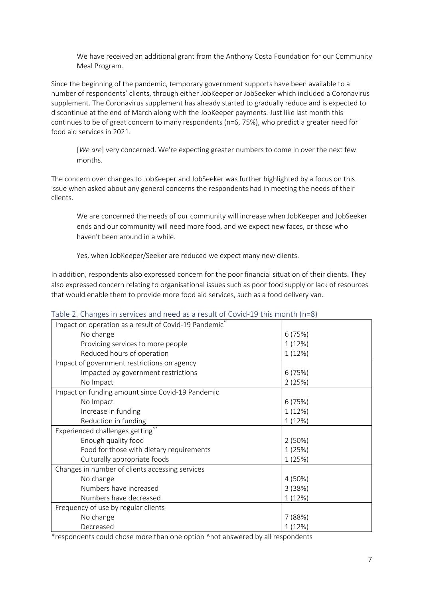We have received an additional grant from the Anthony Costa Foundation for our Community Meal Program.

Since the beginning of the pandemic, temporary government supports have been available to a number of respondents' clients, through either JobKeeper or JobSeeker which included a Coronavirus supplement. The Coronavirus supplement has already started to gradually reduce and is expected to discontinue at the end of March along with the JobKeeper payments. Just like last month this continues to be of great concern to many respondents (n=6, 75%), who predict a greater need for food aid services in 2021.

[*We are*] very concerned. We're expecting greater numbers to come in over the next few months.

The concern over changes to JobKeeper and JobSeeker was further highlighted by a focus on this issue when asked about any general concerns the respondents had in meeting the needs of their clients.

We are concerned the needs of our community will increase when JobKeeper and JobSeeker ends and our community will need more food, and we expect new faces, or those who haven't been around in a while.

Yes, when JobKeeper/Seeker are reduced we expect many new clients.

In addition, respondents also expressed concern for the poor financial situation of their clients. They also expressed concern relating to organisational issues such as poor food supply or lack of resources that would enable them to provide more food aid services, such as a food delivery van.

| Impact on operation as a result of Covid-19 Pandemic <sup>*</sup> |         |
|-------------------------------------------------------------------|---------|
| No change                                                         | 6(75%)  |
| Providing services to more people                                 | 1(12%)  |
| Reduced hours of operation                                        | 1 (12%) |
| Impact of government restrictions on agency                       |         |
| Impacted by government restrictions                               | 6(75%)  |
| No Impact                                                         | 2(25%)  |
| Impact on funding amount since Covid-19 Pandemic                  |         |
| No Impact                                                         | 6(75%)  |
| Increase in funding                                               | 1(12%)  |
| Reduction in funding                                              | 1 (12%) |
| Experienced challenges getting <sup>^*</sup>                      |         |
| Enough quality food                                               | 2(50%)  |
| Food for those with dietary requirements                          | 1 (25%) |
| Culturally appropriate foods                                      | 1(25%)  |
| Changes in number of clients accessing services                   |         |
| No change                                                         | 4 (50%) |
| Numbers have increased                                            | 3(38%)  |
| Numbers have decreased                                            | 1 (12%) |
| Frequency of use by regular clients                               |         |
| No change                                                         | 7(88%)  |
| Decreased                                                         | 1 (12%) |

#### Table 2. Changes in services and need as a result of Covid-19 this month (n=8)

\*respondents could chose more than one option ^not answered by all respondents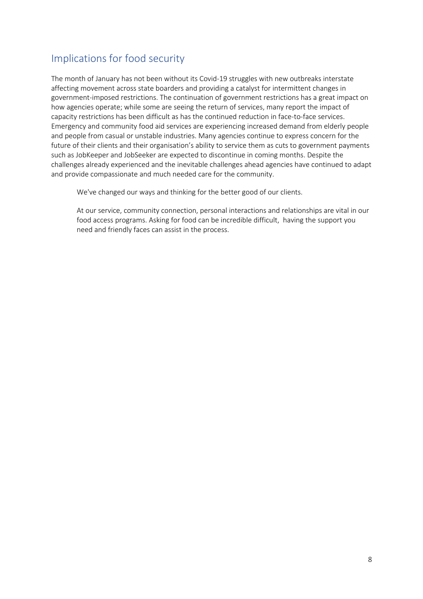# Implications for food security

The month of January has not been without its Covid-19 struggles with new outbreaks interstate affecting movement across state boarders and providing a catalyst for intermittent changes in government-imposed restrictions. The continuation of government restrictions has a great impact on how agencies operate; while some are seeing the return of services, many report the impact of capacity restrictions has been difficult as has the continued reduction in face-to-face services. Emergency and community food aid services are experiencing increased demand from elderly people and people from casual or unstable industries. Many agencies continue to express concern for the future of their clients and their organisation's ability to service them as cuts to government payments such as JobKeeper and JobSeeker are expected to discontinue in coming months. Despite the challenges already experienced and the inevitable challenges ahead agencies have continued to adapt and provide compassionate and much needed care for the community.

We've changed our ways and thinking for the better good of our clients.

At our service, community connection, personal interactions and relationships are vital in our food access programs. Asking for food can be incredible difficult, having the support you need and friendly faces can assist in the process.